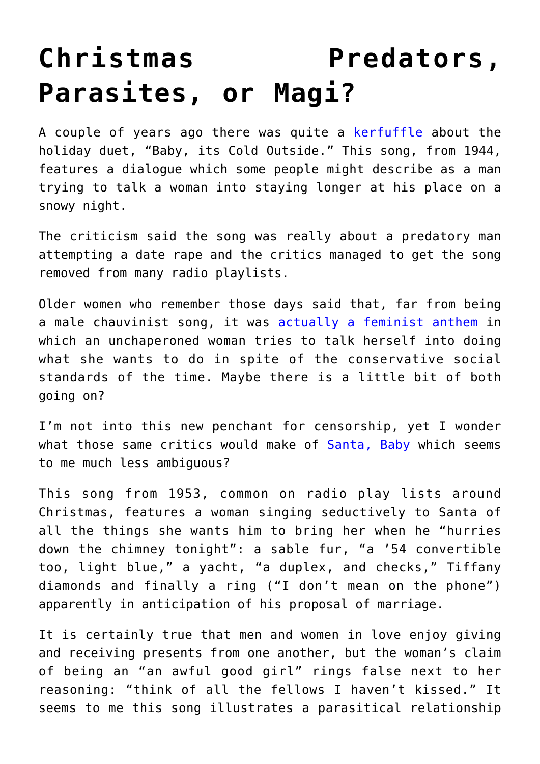## **[Christmas Predators,](https://intellectualtakeout.org/2019/12/christmas-predators-parasites-or-magi/) [Parasites, or Magi?](https://intellectualtakeout.org/2019/12/christmas-predators-parasites-or-magi/)**

A couple of years ago there was quite a [kerfuffle](https://www.insider.com/baby-its-cold-outside-feminist-or-sexist-2018-12) about the holiday duet, "Baby, its Cold Outside." This song, from 1944, features a dialogue which some people might describe as a man trying to talk a woman into staying longer at his place on a snowy night.

The criticism said the song was really about a predatory man attempting a date rape and the critics managed to get the song removed from many radio playlists.

Older women who remember those days said that, far from being a male chauvinist song, it was [actually a feminist anthem](https://www.insider.com/baby-its-cold-outside-feminist-or-sexist-2018-12) in which an unchaperoned woman tries to talk herself into doing what she wants to do in spite of the conservative social standards of the time. Maybe there is a little bit of both going on?

I'm not into this new penchant for censorship, yet I wonder what those same critics would make of [Santa, Baby](https://www.youtube.com/watch?v=Mk_GmhD053E) which seems to me much less ambiguous?

This song from 1953, common on radio play lists around Christmas, features a woman singing seductively to Santa of all the things she wants him to bring her when he "hurries down the chimney tonight": a sable fur, "a '54 convertible too, light blue," a yacht, "a duplex, and checks," Tiffany diamonds and finally a ring ("I don't mean on the phone") apparently in anticipation of his proposal of marriage.

It is certainly true that men and women in love enjoy giving and receiving presents from one another, but the woman's claim of being an "an awful good girl" rings false next to her reasoning: "think of all the fellows I haven't kissed." It seems to me this song illustrates a parasitical relationship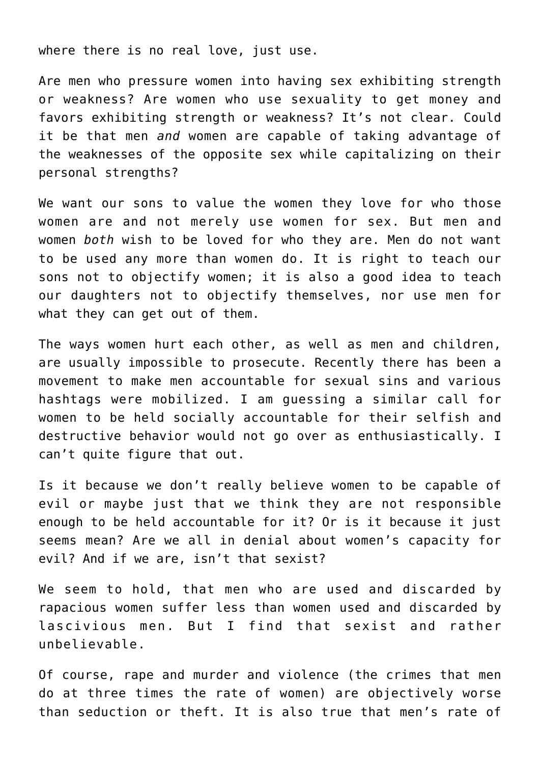where there is no real love, just use.

Are men who pressure women into having sex exhibiting strength or weakness? Are women who use sexuality to get money and favors exhibiting strength or weakness? It's not clear. Could it be that men *and* women are capable of taking advantage of the weaknesses of the opposite sex while capitalizing on their personal strengths?

We want our sons to value the women they love for who those women are and not merely use women for sex. But men and women *both* wish to be loved for who they are. Men do not want to be used any more than women do. It is right to teach our sons not to objectify women; it is also a good idea to teach our daughters not to objectify themselves, nor use men for what they can get out of them.

The ways women hurt each other, as well as men and children, are usually impossible to prosecute. Recently there has been a movement to make men accountable for sexual sins and various hashtags were mobilized. I am guessing a similar call for women to be held socially accountable for their selfish and destructive behavior would not go over as enthusiastically. I can't quite figure that out.

Is it because we don't really believe women to be capable of evil or maybe just that we think they are not responsible enough to be held accountable for it? Or is it because it just seems mean? Are we all in denial about women's capacity for evil? And if we are, isn't that sexist?

We seem to hold, that men who are used and discarded by rapacious women suffer less than women used and discarded by lascivious men. But I find that sexist and rather unbelievable.

Of course, rape and murder and violence (the crimes that men do at three times the rate of women) are objectively worse than seduction or theft. It is also true that men's rate of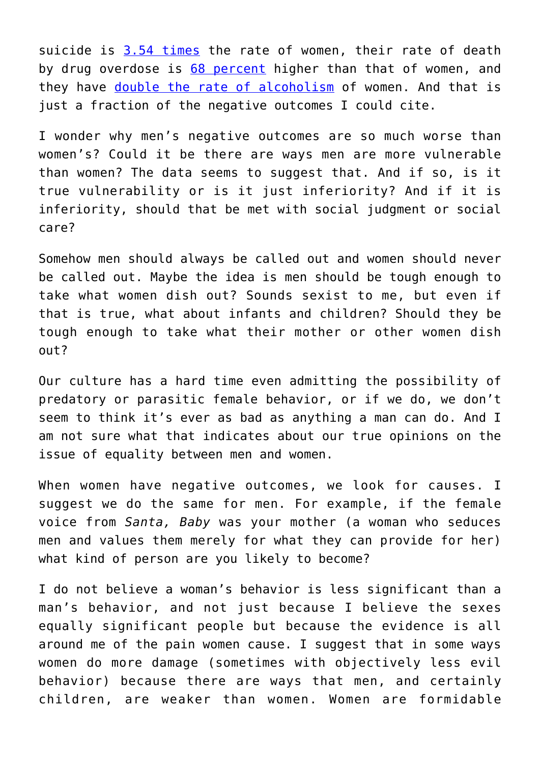suicide is [3.54 times](https://afsp.org/about-suicide/suicide-statistics/) the rate of women, their rate of death by drug overdose is [68 percent](https://www.kff.org/other/state-indicator/opioid-overdose-deaths-by-gender/?dataView=1¤tTimeframe=0&sortModel=%7B%22colId%22:%22Location%22,%22sort%22:%22asc%22%7D) higher than that of women, and they have [double the rate of alcoholism](https://www.cdc.gov/alcohol/fact-sheets/mens-health.htm) of women. And that is just a fraction of the negative outcomes I could cite.

I wonder why men's negative outcomes are so much worse than women's? Could it be there are ways men are more vulnerable than women? The data seems to suggest that. And if so, is it true vulnerability or is it just inferiority? And if it is inferiority, should that be met with social judgment or social care?

Somehow men should always be called out and women should never be called out. Maybe the idea is men should be tough enough to take what women dish out? Sounds sexist to me, but even if that is true, what about infants and children? Should they be tough enough to take what their mother or other women dish out?

Our culture has a hard time even admitting the possibility of predatory or parasitic female behavior, or if we do, we don't seem to think it's ever as bad as anything a man can do. And I am not sure what that indicates about our true opinions on the issue of equality between men and women.

When women have negative outcomes, we look for causes. I suggest we do the same for men. For example, if the female voice from *Santa, Baby* was your mother (a woman who seduces men and values them merely for what they can provide for her) what kind of person are you likely to become?

I do not believe a woman's behavior is less significant than a man's behavior, and not just because I believe the sexes equally significant people but because the evidence is all around me of the pain women cause. I suggest that in some ways women do more damage (sometimes with objectively less evil behavior) because there are ways that men, and certainly children, are weaker than women. Women are formidable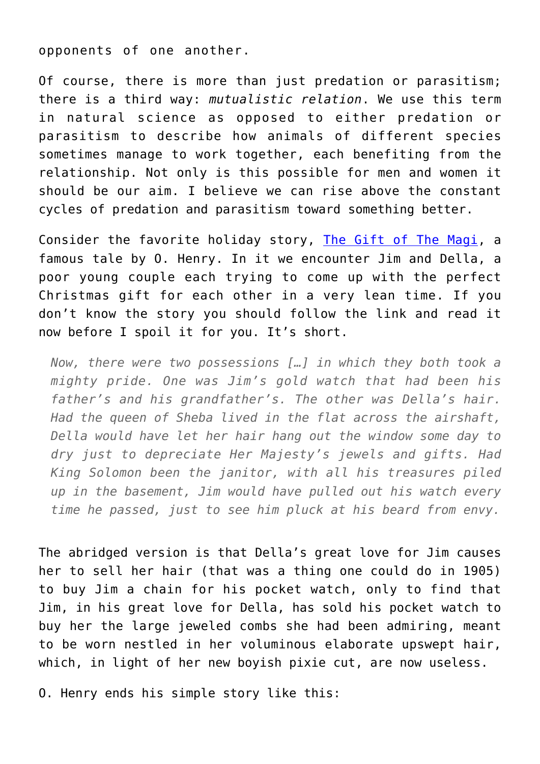opponents of one another.

Of course, there is more than just predation or parasitism; there is a third way: *mutualistic relation*. We use this term in natural science as opposed to either predation or parasitism to describe how animals of different species sometimes manage to work together, each benefiting from the relationship. Not only is this possible for men and women it should be our aim. I believe we can rise above the constant cycles of predation and parasitism toward something better.

Consider the favorite holiday story, [The Gift of The Magi](http://webhome.auburn.edu/~vestmon/Gift_of_the_Magi.html), a famous tale by O. Henry. In it we encounter Jim and Della, a poor young couple each trying to come up with the perfect Christmas gift for each other in a very lean time. If you don't know the story you should follow the link and read it now before I spoil it for you. It's short.

*Now, there were two possessions […] in which they both took a mighty pride. One was Jim's gold watch that had been his father's and his grandfather's. The other was Della's hair. Had the queen of Sheba lived in the flat across the airshaft, Della would have let her hair hang out the window some day to dry just to depreciate Her Majesty's jewels and gifts. Had King Solomon been the janitor, with all his treasures piled up in the basement, Jim would have pulled out his watch every time he passed, just to see him pluck at his beard from envy.*

The abridged version is that Della's great love for Jim causes her to sell her hair (that was a thing one could do in 1905) to buy Jim a chain for his pocket watch, only to find that Jim, in his great love for Della, has sold his pocket watch to buy her the large jeweled combs she had been admiring, meant to be worn nestled in her voluminous elaborate upswept hair, which, in light of her new boyish pixie cut, are now useless.

O. Henry ends his simple story like this: